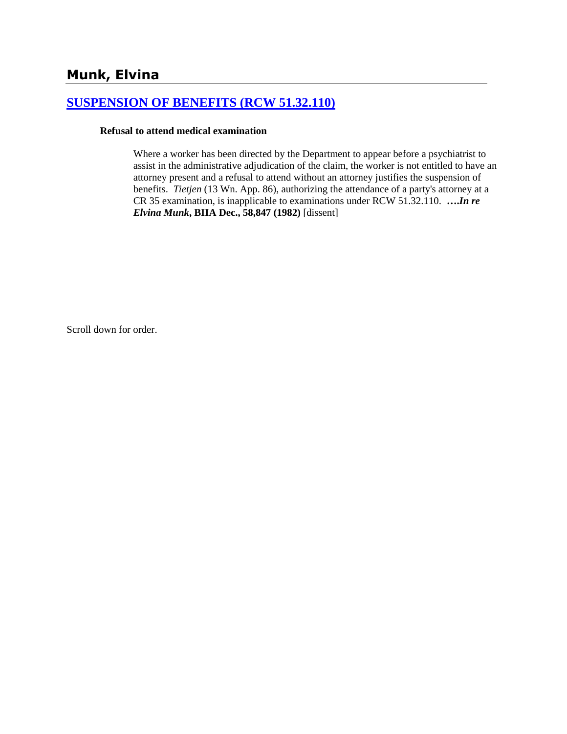# **[SUSPENSION OF BENEFITS \(RCW 51.32.110\)](http://www.biia.wa.gov/SDSubjectIndex.html#SUSPENSION_OF_BENEFITS)**

#### **Refusal to attend medical examination**

Where a worker has been directed by the Department to appear before a psychiatrist to assist in the administrative adjudication of the claim, the worker is not entitled to have an attorney present and a refusal to attend without an attorney justifies the suspension of benefits. *Tietjen* (13 Wn. App. 86), authorizing the attendance of a party's attorney at a CR 35 examination, is inapplicable to examinations under RCW 51.32.110. **….***In re Elvina Munk***, BIIA Dec., 58,847 (1982)** [dissent]

Scroll down for order.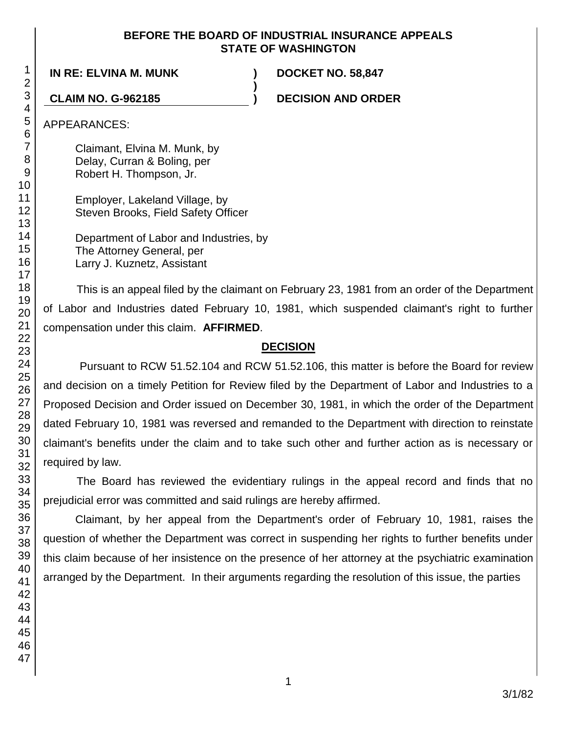#### **BEFORE THE BOARD OF INDUSTRIAL INSURANCE APPEALS STATE OF WASHINGTON**

**)**

**IN RE: ELVINA M. MUNK ) DOCKET NO. 58,847**

**CLAIM NO. G-962185 ) DECISION AND ORDER**

APPEARANCES:

Claimant, Elvina M. Munk, by Delay, Curran & Boling, per Robert H. Thompson, Jr.

Employer, Lakeland Village, by Steven Brooks, Field Safety Officer

Department of Labor and Industries, by The Attorney General, per Larry J. Kuznetz, Assistant

This is an appeal filed by the claimant on February 23, 1981 from an order of the Department of Labor and Industries dated February 10, 1981, which suspended claimant's right to further compensation under this claim. **AFFIRMED**.

## **DECISION**

Pursuant to RCW 51.52.104 and RCW 51.52.106, this matter is before the Board for review and decision on a timely Petition for Review filed by the Department of Labor and Industries to a Proposed Decision and Order issued on December 30, 1981, in which the order of the Department dated February 10, 1981 was reversed and remanded to the Department with direction to reinstate claimant's benefits under the claim and to take such other and further action as is necessary or required by law.

The Board has reviewed the evidentiary rulings in the appeal record and finds that no prejudicial error was committed and said rulings are hereby affirmed.

Claimant, by her appeal from the Department's order of February 10, 1981, raises the question of whether the Department was correct in suspending her rights to further benefits under this claim because of her insistence on the presence of her attorney at the psychiatric examination arranged by the Department. In their arguments regarding the resolution of this issue, the parties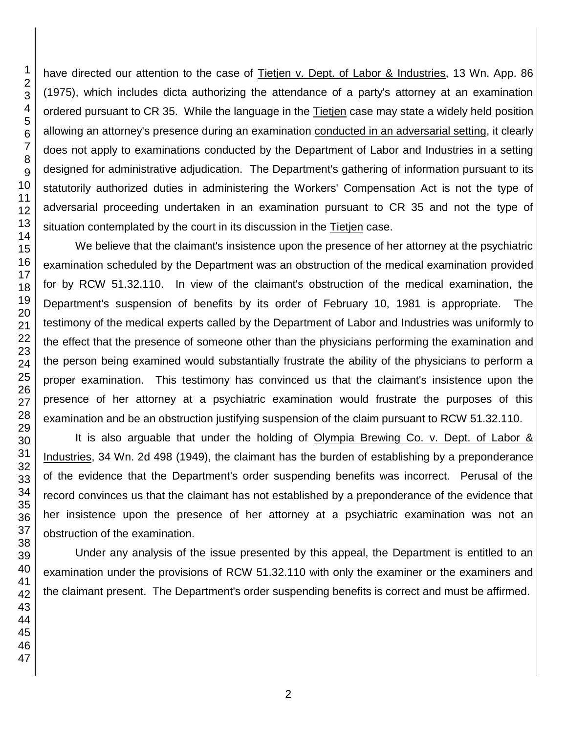have directed our attention to the case of Tietjen v. Dept. of Labor & Industries, 13 Wn. App. 86 (1975), which includes dicta authorizing the attendance of a party's attorney at an examination ordered pursuant to CR 35. While the language in the Tietjen case may state a widely held position allowing an attorney's presence during an examination conducted in an adversarial setting, it clearly does not apply to examinations conducted by the Department of Labor and Industries in a setting designed for administrative adjudication. The Department's gathering of information pursuant to its statutorily authorized duties in administering the Workers' Compensation Act is not the type of adversarial proceeding undertaken in an examination pursuant to CR 35 and not the type of situation contemplated by the court in its discussion in the Tietjen case.

We believe that the claimant's insistence upon the presence of her attorney at the psychiatric examination scheduled by the Department was an obstruction of the medical examination provided for by RCW 51.32.110. In view of the claimant's obstruction of the medical examination, the Department's suspension of benefits by its order of February 10, 1981 is appropriate. The testimony of the medical experts called by the Department of Labor and Industries was uniformly to the effect that the presence of someone other than the physicians performing the examination and the person being examined would substantially frustrate the ability of the physicians to perform a proper examination. This testimony has convinced us that the claimant's insistence upon the presence of her attorney at a psychiatric examination would frustrate the purposes of this examination and be an obstruction justifying suspension of the claim pursuant to RCW 51.32.110.

It is also arguable that under the holding of Olympia Brewing Co. v. Dept. of Labor & Industries, 34 Wn. 2d 498 (1949), the claimant has the burden of establishing by a preponderance of the evidence that the Department's order suspending benefits was incorrect. Perusal of the record convinces us that the claimant has not established by a preponderance of the evidence that her insistence upon the presence of her attorney at a psychiatric examination was not an obstruction of the examination.

Under any analysis of the issue presented by this appeal, the Department is entitled to an examination under the provisions of RCW 51.32.110 with only the examiner or the examiners and the claimant present. The Department's order suspending benefits is correct and must be affirmed.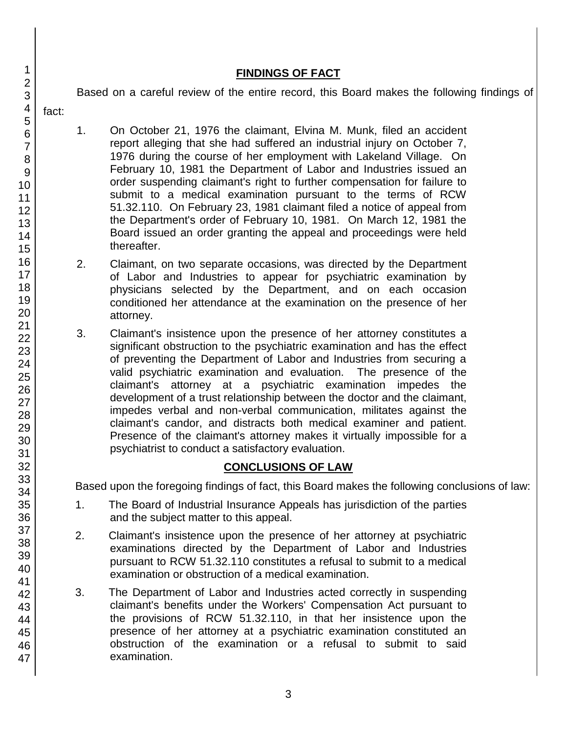# **FINDINGS OF FACT**

Based on a careful review of the entire record, this Board makes the following findings of

- 1. On October 21, 1976 the claimant, Elvina M. Munk, filed an accident report alleging that she had suffered an industrial injury on October 7, 1976 during the course of her employment with Lakeland Village. On February 10, 1981 the Department of Labor and Industries issued an order suspending claimant's right to further compensation for failure to submit to a medical examination pursuant to the terms of RCW 51.32.110. On February 23, 1981 claimant filed a notice of appeal from the Department's order of February 10, 1981. On March 12, 1981 the Board issued an order granting the appeal and proceedings were held thereafter.
- 2. Claimant, on two separate occasions, was directed by the Department of Labor and Industries to appear for psychiatric examination by physicians selected by the Department, and on each occasion conditioned her attendance at the examination on the presence of her attorney.
- 3. Claimant's insistence upon the presence of her attorney constitutes a significant obstruction to the psychiatric examination and has the effect of preventing the Department of Labor and Industries from securing a valid psychiatric examination and evaluation. The presence of the claimant's attorney at a psychiatric examination impedes the development of a trust relationship between the doctor and the claimant, impedes verbal and non-verbal communication, militates against the claimant's candor, and distracts both medical examiner and patient. Presence of the claimant's attorney makes it virtually impossible for a psychiatrist to conduct a satisfactory evaluation.

# **CONCLUSIONS OF LAW**

Based upon the foregoing findings of fact, this Board makes the following conclusions of law:

- 1. The Board of Industrial Insurance Appeals has jurisdiction of the parties and the subject matter to this appeal.
- 2. Claimant's insistence upon the presence of her attorney at psychiatric examinations directed by the Department of Labor and Industries pursuant to RCW 51.32.110 constitutes a refusal to submit to a medical examination or obstruction of a medical examination.
- 3. The Department of Labor and Industries acted correctly in suspending claimant's benefits under the Workers' Compensation Act pursuant to the provisions of RCW 51.32.110, in that her insistence upon the presence of her attorney at a psychiatric examination constituted an obstruction of the examination or a refusal to submit to said examination.

1 2

fact: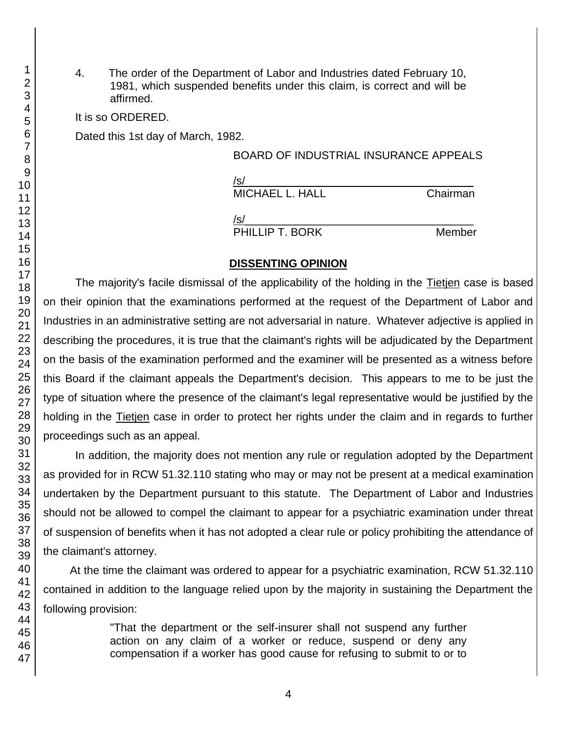4. The order of the Department of Labor and Industries dated February 10, 1981, which suspended benefits under this claim, is correct and will be affirmed.

It is so ORDERED.

Dated this 1st day of March, 1982.

## BOARD OF INDUSTRIAL INSURANCE APPEALS

| /s/             |          |
|-----------------|----------|
| MICHAEL L. HALL | Chairman |
|                 |          |

 $/$ s/ $\sim$ 

PHILLIP T. BORK Member

# **DISSENTING OPINION**

The majority's facile dismissal of the applicability of the holding in the Tietien case is based on their opinion that the examinations performed at the request of the Department of Labor and Industries in an administrative setting are not adversarial in nature. Whatever adjective is applied in describing the procedures, it is true that the claimant's rights will be adjudicated by the Department on the basis of the examination performed and the examiner will be presented as a witness before this Board if the claimant appeals the Department's decision. This appears to me to be just the type of situation where the presence of the claimant's legal representative would be justified by the holding in the Tietjen case in order to protect her rights under the claim and in regards to further proceedings such as an appeal.

In addition, the majority does not mention any rule or regulation adopted by the Department as provided for in RCW 51.32.110 stating who may or may not be present at a medical examination undertaken by the Department pursuant to this statute. The Department of Labor and Industries should not be allowed to compel the claimant to appear for a psychiatric examination under threat of suspension of benefits when it has not adopted a clear rule or policy prohibiting the attendance of the claimant's attorney.

At the time the claimant was ordered to appear for a psychiatric examination, RCW 51.32.110 contained in addition to the language relied upon by the majority in sustaining the Department the following provision:

> "That the department or the self-insurer shall not suspend any further action on any claim of a worker or reduce, suspend or deny any compensation if a worker has good cause for refusing to submit to or to